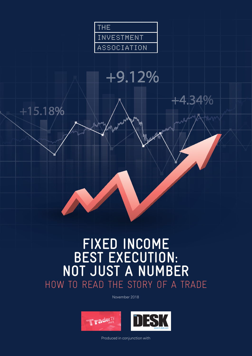

# $+9.12%$



## **FIXED INCOME BEST EXECUTION: NOT JUST A NUMBER** HOW TO READ THE STORY OF A TRADE

November 2018





Produced in conjunction with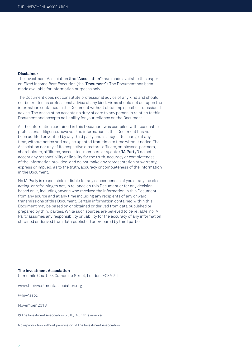#### **Disclaimer**

The Investment Association (the "Association") has made available this paper on Fixed Income Best Execution (the "Document"). The Document has been made available for information purposes only.

The Document does not constitute professional advice of any kind and should not be treated as professional advice of any kind. Firms should not act upon the information contained in the Document without obtaining specific professional advice. The Association accepts no duty of care to any person in relation to this Document and accepts no liability for your reliance on the Document.

All the information contained in this Document was compiled with reasonable professional diligence, however, the information in this Document has not been audited or verified by any third party and is subject to change at any time, without notice and may be updated from time to time without notice. The Association nor any of its respective directors, officers, employees, partners, shareholders, affiliates, associates, members or agents ("IA Party") do not accept any responsibility or liability for the truth, accuracy or completeness of the information provided, and do not make any representation or warranty, express or implied, as to the truth, accuracy or completeness of the information in the Document.

No IA Party is responsible or liable for any consequences of you or anyone else acting, or refraining to act, in reliance on this Document or for any decision based on it, including anyone who received the information in this Document from any source and at any time including any recipients of any onward transmissions of this Document. Certain information contained within this Document may be based on or obtained or derived from data published or prepared by third parties. While such sources are believed to be reliable, no IA Party assumes any responsibility or liability for the accuracy of any information obtained or derived from data published or prepared by third parties.

**The Investment Association** Camomile Court, 23 Camomile Street, London, EC3A 7LL

www.theinvestmentassociation.org

@InvAssoc

November 2018

© The Investment Association (2018). All rights reserved.

No reproduction without permission of The Investment Association.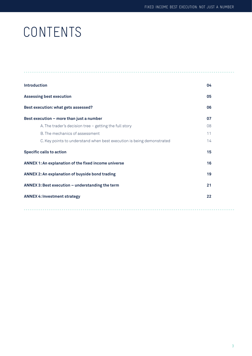# CONTENTS

| <b>Introduction</b>                                                   | 04 |  |  |  |  |
|-----------------------------------------------------------------------|----|--|--|--|--|
| <b>Assessing best execution</b>                                       | 05 |  |  |  |  |
| Best execution: what gets assessed?                                   | 06 |  |  |  |  |
| Best execution - more than just a number                              | 07 |  |  |  |  |
| A. The trader's decision tree - getting the full story                | 08 |  |  |  |  |
| B. The mechanics of assessment                                        | 11 |  |  |  |  |
| C. Key points to understand when best execution is being demonstrated | 14 |  |  |  |  |
| <b>Specific calls to action</b>                                       | 15 |  |  |  |  |
| ANNEX 1: An explanation of the fixed income universe                  | 16 |  |  |  |  |
| <b>ANNEX 2: An explanation of buyside bond trading</b>                |    |  |  |  |  |
| ANNEX 3: Best execution - understanding the term                      |    |  |  |  |  |
| <b>ANNEX 4: Investment strategy</b>                                   |    |  |  |  |  |
|                                                                       |    |  |  |  |  |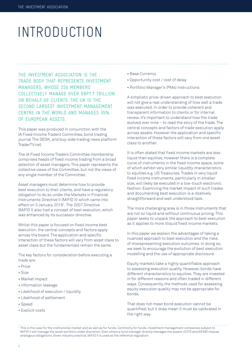# INTRODUCTION

THE INVESTMENT ASSOCIATION IS THE TRADE BODY THAT REPRESENTS INVESTMENT MANAGERS, WHOSE 250 MEMBERS COLLECTIVELY MANAGE OVER GBP7.7 TRILLION ON BEHALF OF CLIENTS. THE UK IS THE SECOND LARGEST INVESTMENT MANAGEMENT CENTRE IN THE WORLD AND MANAGES 35% OF EUROPEAN ASSETS.

This paper was produced in conjunction with the IA Fixed Income Traders Committee, bond trading journal The DESK, and buy-side trading news platform TraderTV.net.

The IA Fixed Income Traders Committee membership comprises heads of fixed income trading from a broad selection of asset managers. This paper represents the collective views of the Committee, but not the views of any single member of the Committee.

Asset managers must determine how to provide best execution to their clients, and have a regulatory obligation to do so under the Markets in Financial Instruments Directive II (MiFID II) which came into effect on 3 January 2018<sup>1</sup>. The 2007 Directive (MiFID I) also had a concept of best execution, which was enhanced by its successor directive.

Whilst this paper is focused on fixed income best execution, the central concepts and factors apply across the board. The application and specific interaction of these factors will vary from asset class to asset class but the fundamentals remain the same.

The key factors for consideration before executing a trade are:

- Price
- Size
- Market impact
- Information leakage
- Likelihood of execution / liquidity
- Likelihood of settlement
- Speed
- Explicit costs
- Base Currency
- Opportunity cost / cost of delay
- Portfolio Manager's (PMs) instructions

A simplistic price-driven approach to best execution will not give a real understanding of how well a trade was executed. In order to provide coherent and transparent information to clients or for internal review, it's important to understand how the trade evolved over time – to read the story of the trade. The central concepts and factors of trade execution apply across assets. However the application and specific interaction of these factors will vary from one asset class to another.

It is often stated that fixed income markets are less liquid than equities, however there is a complete curve of instruments in the fixed income space, some of which exhibit very similar liquidity characteristics to equities e.g. US Treasuries. Trades in very liquid fixed income instruments, particularly in smaller size, will likely be executed in a low-touch electronic fashion. Examining the market impact of such trades and documenting best execution is a relatively straightforward and well understood task.

The more challenging area is in those instruments that are not so liquid and without continuous pricing. This paper seeks to unpack the approach to best execution as it applies to more illiquid fixed income markets.

In this paper we explain the advantages of taking a nuanced approach to best execution and the risks of misrepresenting execution outcomes. In doing so, we seek to encourage the evolution of best execution modelling and the use of appropriate disclosure.

Equity markets take a highly quantifiable approach to assessing execution quality. However, bonds have different characteristics to equities. They are invested in for different reasons and often traded in different ways. Consequently, the methods used for assessing equity execution quality may not be appropriate for bonds.

That does not mean bond execution cannot be quantified, but it does mean it must be calibrated in the right way.

<sup>1</sup> This is the case for the institutional market and as well as for funds. Commonly for funds, investment management companies subject to MiFID II will manage the asset portfolio under discretion. Even where a fund manager directly manages the assets UCITS and AIFMD impose analogous obligations. Given industry practice, MiFID II is used as the reference regulation.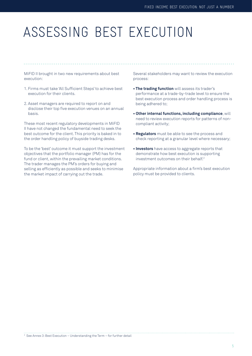# ASSESSING BEST EXECUTION

MiFID II brought in two new requirements about best execution:

- 1. Firms must take 'All Sufficient Steps' to achieve best execution for their clients.
- 2. Asset managers are required to report on and disclose their top five execution venues on an annual basis.

These most recent regulatory developments in MiFID II have not changed the fundamental need to seek the best outcome for the client. This priority is baked in to the order handling policy of buyside trading desks.

To be the 'best' outcome it must support the investment objectives that the portfolio manager (PM) has for the fund or client, within the prevailing market conditions. The trader manages the PM's orders for buying and selling as efficiently as possible and seeks to minimise the market impact of carrying out the trade.

Several stakeholders may want to review the execution process:

- **The trading function** will assess its trader's performance at a trade-by-trade level to ensure the best execution process and order handling process is being adhered to;
- **Other internal functions, including compliance**, will need to review execution reports for patterns of noncompliant activity;
- **Regulators** must be able to see the process and check reporting at a granular level where necessary;
- **Investors** have access to aggregate reports that demonstrate how best execution is supporting investment outcomes on their behalf.<sup>2</sup>

Appropriate information about a firm's best execution policy must be provided to clients.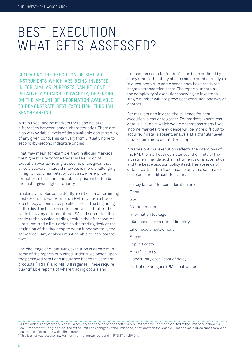# BEST EXECUTION: WHAT GETS ASSESSED?

COMPARING THE EXECUTION OF SIMILAR INSTRUMENTS WHICH ARE BEING INVESTED IN FOR SIMILAR PURPOSES CAN BE DONE RELATIVELY STRAIGHTFORWARDLY, DEPENDING ON THE AMOUNT OF INFORMATION AVAILABLE TO DEMONSTRATE BEST EXECUTION, THROUGH BENCHMARKING.

Within fixed income markets there can be large differences between bonds' characteristics. There are also very variable levels of data available about trading of any given bond. This can vary from virtually none to second-by-second indicative pricing.

That may mean, for example, that in illiquid markets the highest priority for a trader is likelihood of execution over achieving a specific price, given that price discovery in illiquid markets is more challenging. In highly liquid markets, by contrast, where price formation is both fast and robust, price will often be the factor given highest priority.

Tracking variables consistently is critical in determining best execution. For example, a PM may have a trade idea to buy a bond at a specific price at the beginning of the day. The best execution analysis of that trade could look very different if the PM had submitted that trade to the buyside trading desk in the afternoon, or just submitted a limit order<sup>3</sup> to the trading desk at the beginning of the day, despite being fundamentally the same trade. Any analysis must be able to incorporate that.

The challenge of quantifying execution is apparent in some of the reports published under rules based upon the packaged retail and insurance based investment products (PRIIPs) and MiFID II regimes. These require quantifiable reports of where trading occurs and

transaction costs for funds. As has been outlined by many others, the utility of such single number analysis is questionable. In some cases, they have produced negative transaction costs. The reports underplay the complexity of execution: showing an investor a single number will not prove best execution one way or another.

For markets rich in data, the evidence for best execution is easier to gather. For markets where less data is available, which would encompass many fixed income markets, the evidence will be more difficult to acquire. If data is absent, analysis at a granular level may require more qualitative support.

A trade's optimal execution reflects the intentions of the PM, the market circumstances, the limits of the investment mandate, the instrument's characteristics and the best execution policy itself. The absence of data in parts of the fixed income universe can make best execution difficult to frame.

The key factors<sup>4</sup> for consideration are:

- Price
- Size
- Market impact
- Information leakage
- Likelihood of execution / liquidity
- Likelihood of settlement
- Speed
- Explicit costs
- Base Currency
- Opportunity cost / cost of delay
- Portfolio Manager's (PMs) instructions

4 This is a non-exhaustive list. Further information can be found in RTS 27 of MiFID II.

 $^{\rm 3}$  A limit order is an order to buy or sell a security at a specific price or better. A buy limit order will only be executed at the limit price or lower. A sell-limit order will only be executed at the limit price or higher. If the limit price is not met then the order will not be executed. As such there is no guarantee of execution with a limit order.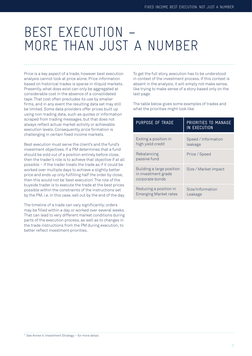## BEST EXECUTION – MORE THAN JUST A NUMBER

Price is a key aspect of a trade, however best execution analysis cannot look at price alone. Price information based on historical trades is sparse in illiquid markets. Presently, what does exist can only be aggregated at considerable cost in the absence of a consolidated tape. That cost often precludes its use by smaller firms, and in any event the resulting data set may still be limited. Some data providers offer prices built up using non-trading data, such as quotes or information scraped from trading messages, but that does not always reflect actual market activity or achievable execution levels. Consequently, price formation is challenging in certain fixed income markets.

Best execution must serve the client's and the fund's investment objectives. If a PM determines that a fund should be sold out of a position entirely before close, then the trader's role is to achieve that objective if at all possible – if the trader treats the trade as if it could be worked over multiple days to achieve a slightly better price and ends up only fulfilling half the order by close, then this would not be 'best execution'. The role of the buyside trader is to execute the trade at the best prices possible within the constraints of the instructions set by the PM, i.e. in this case, sell out by the end of the day.

The timeline of a trade can vary significantly; orders may be filled within a day or worked over several weeks. That can lead to very different market conditions during parts of the execution process, as well as to changes in the trade instructions from the PM during execution, to better reflect investment priorities.

To get the full story, execution has to be understood in context of the investment process. If this context is absent in the analysis, it will simply not make sense, like trying to make sense of a story based only on the last page.

The table below gives some examples of trades and what the priorities might look like:

| PURPOSE OF TRADE                                                    | PRIORITIES TO MANAGE<br>IN EXECUTION |
|---------------------------------------------------------------------|--------------------------------------|
| Exiting a position in<br>high yield credit                          | Speed / Information<br>leakage       |
| Rebalancing<br>passive fund                                         | Price / Speed                        |
| Building a large position<br>in investment grade<br>corporate bonds | Size / Market impact                 |
| Reducing a position in<br><b>Emerging Market rates</b>              | Size/Information<br>Leakage          |

5 See Annex 4: Investment Strategy – for more detail.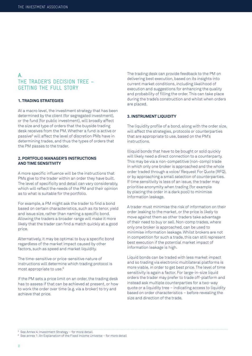## **A.** THE TRADER'S DECISION TREE – GETTING THE FULL STORY

#### **1. TRADING STRATEGIES**

At a macro level, the investment strategy that has been determined by the client (for segregated investment), or the fund (for public investment), will broadly affect the size and type of orders that the buyside trading desk receives from the PM. Whether a fund is active or passive<sup>5</sup> will affect the level of discretion PMs have in determining trades, and thus the types of orders that the PM passes to the trader.

#### **2. PORTFOLIO MANAGER'S INSTRUCTIONS AND TIME SENSITIVITY**

A more specific influence will be the instructions that PMs give to the trader within an order they have built. The level of specificity and detail can vary considerably, which will reflect the needs of the PM and their opinion as to what is suitable for the portfolio.

For example, a PM might ask the trader to find a bond based on certain characteristics, such as its tenor, yield and issue size, rather than naming a specific bond. Allowing the traders a broader range will make it more likely that the trader can find a match quickly at a good price.

Alternatively, it may be optimal to buy a specific bond regardless of the market impact caused by other factors, such as speed and market liquidity.

The time-sensitive or price-sensitive nature of instructions will determine which trading protocol is most appropriate to use.6

If the PM sets a price limit on an order, the trading desk has to assess if that can be achieved at present, or how to work the order over time (e.g. via a broker) to try and achieve that price.

The trading desk can provide feedback to the PM on delivering best execution, based on its insights into current market conditions, including likelihood of execution and suggestions for enhancing the quality and probability of filling the order. This can take place during the trade's construction and whilst when orders are placed.

#### **3. INSTRUMENT LIQUIDITY**

The liquidity profile of a bond, along with the order size, will affect the strategies, protocols or counterparties that are appropriate to use, based on the PM's instructions.

Illiquid bonds that have to be bought or sold quickly will likely need a direct connection to a counterparty. This may be via a non-competitive (non-comp) trade in which only one broker is approached and the whole order traded through a voice/ Request For Quote (RFQ), or by approaching a small selection of counterparties. If time sensitivity is less of an issue, the trader may prioritise anonymity when trading (for example by placing the order in a dark pool) to minimise information leakage.

A trader must minimise the risk of information on their order leaking to the market, or the price is likely to move against them as other traders take advantage of their need to buy or sell. Non-comp trades, where only one broker is approached, can be used to minimise information leakage. Whilst brokers are not in competition for such a trade, this can still represent best execution if the potential market impact of information leakage is high.

Liquid bonds can be traded with less market impact and so trading via electronic multilateral platforms is more viable, in order to get best price. The level of time sensitivity is again a factor. For large-in-size liquid orders the trader may prefer to trade off-platform and instead ask multiple counterparties for a two-way quote or a liquidity tree – indicating access to liquidity based on order characteristics – before revealing the size and direction of the trade.

<sup>5</sup> See Annex 4: Investment Strategy – for more detail.

<sup>6</sup> See annex 1: An Explanation of the Fixed Income Universe – for more detail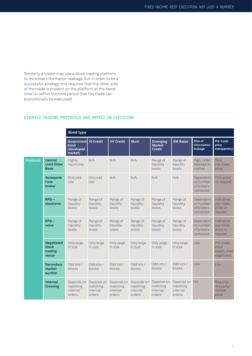Similarly a trader may use a block trading platform to minimise information leakage, but in order to be a successful strategy this requires that the other side of the trade is present on the platform at the same time (or within the time period that the trade can economically be executed).

#### **EXAMPLE TRADING PROTOCOLS AND IMPACT ON EXECUTION:**

|          |                                                       | <b>Bond type</b>                                   |                                              |                                              |                                              |                                                   |                                              |                                                   |                                                 |
|----------|-------------------------------------------------------|----------------------------------------------------|----------------------------------------------|----------------------------------------------|----------------------------------------------|---------------------------------------------------|----------------------------------------------|---------------------------------------------------|-------------------------------------------------|
|          |                                                       | <b>Government</b><br>bond<br>(developed<br>market) | <b>IG Credit</b>                             | <b>HY Credit</b>                             | <b>Muni</b>                                  | <b>Emerging</b><br><b>Market</b><br><b>Credit</b> | <b>EM Rates</b>                              | <b>Risk of</b><br>information<br>leakage          | Pre-trade<br>price<br>transparency              |
| Protocol | <b>Central</b><br><b>Limit Order</b><br><b>Book</b>   | Highly<br>liquid only                              | N/A                                          | N/A                                          | N/A                                          | Range of<br>liquidity<br>levels                   | Range of<br>liquidity<br>levels              | High, order<br>exposed to<br>market               | Firm<br>pre-trade<br>price                      |
|          | Autoquote<br>from<br>broker                           | Only odd<br>lots                                   | Only odd<br>lots                             | N/A                                          | N/A                                          | N/A                                               | N/A                                          | Dependent<br>on number<br>of brokers<br>contacted | Firm price<br>on request                        |
|          | $RFO -$<br>electronic                                 | Range of<br>liquidity<br>levels                    | Range of<br>liquidity<br>levels              | Range of<br>liquidity<br>levels              | Range of<br>liquidity<br>levels              | Range of<br>liquidity<br>levels                   | Range of<br>liquidity<br>levels              | Dependent<br>on number<br>of brokers<br>contacted | Indicative<br>pre-trade<br>price on<br>request  |
|          | $RFO -$<br>voice                                      | Range of<br>liquidity<br>levels                    | Range of<br>liquidity<br>levels              | Range of<br>liquidity<br>levels              | Range of<br>liquidity<br>levels              | Range of<br>liquidity<br>levels                   | Range of<br>liquidity<br>levels              | Dependent<br>on number<br>of brokers<br>contacted | Indicative<br>pre-trade<br>price on<br>request  |
|          | <b>Negotiated</b><br><b>block</b><br>trading<br>venue | Only large<br>in size                              | Only large<br>in size                        | Only large<br>in size                        | Only large<br>in size                        | Only large<br>in size                             | Only large<br>in size                        | Low                                               | Pre-trade<br>price<br>match, then<br>negotiated |
|          | <b>Secondary</b><br>market<br>auction                 | Odd lots /<br>blocks                               | Odd lots /<br>blocks                         | Odd lots /<br>blocks                         | Odd lots /<br>blocks                         | Odd lots /<br>blocks                              | Odd lots /<br>blocks                         | Low                                               | Low                                             |
|          | <b>Internal</b><br><b>Crossing</b>                    | Depends on<br>matching<br>internal<br>orders       | Depends on<br>matching<br>internal<br>orders | Depends on<br>matching<br>internal<br>orders | Depends on<br>matching<br>internal<br>orders | Depends on<br>matching<br>internal<br>orders      | Depends on<br>matching<br>internal<br>orders | Nil                                               | Requires<br>3rd party/<br>market<br>price       |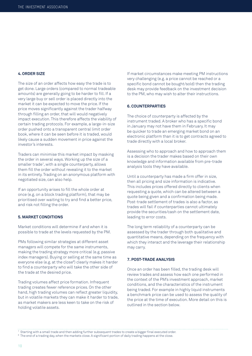#### **4. ORDER SIZE**

The size of an order affects how easy the trade is to get done. Large orders (compared to normal tradeable amounts) are generally going to be harder to fill. If a very large buy or sell order is placed directly into the market it can be expected to move the price. If the price moves significantly against the trader halfway through filling an order, that will would negatively impact execution. This therefore affects the viability of certain trading protocols. For example, a large-in-size order pushed onto a transparent central limit order book, where it can be seen before it is traded, would likely cause a sudden movement in price against the investor's interests.

Traders can minimise this market impact by masking the order in several ways. Working up the size of a smaller trade7 , with a single counterparty, allows them fill the order without revealing it to the market in its entirety. Trading on an anonymous platform with negotiated size, can also help.

If an opportunity arises to fill the whole order at once (e.g. on a block trading platform), that may be prioritised over waiting to try and find a better price, and risk not filling the order.

#### **5. MARKET CONDITIONS**

Market conditions will determine if and when it is possible to trade at the levels requested by the PM.

PMs following similar strategies at different asset managers will compete for the same instruments, making the trading strategy more critical (e.g. passive index managers). Buying or selling at the same time as everyone else (e.g. at the close<sup>8</sup>) clearly makes it harder to find a counterparty who will take the other side of the trade at the desired price.

Trading volumes affect price formation. Infrequent trading creates fewer reference prices. On the other hand, high trading volumes can reflect greater liquidity. but in volatile markets they can make it harder to trade, as market makers are less keen to take on the risk of holding volatile assets.

If market circumstances make meeting PM instructions very challenging (e.g. a price cannot be reached or a specific bond cannot be bought/sold) then the trading desk may provide feedback on the investment decision to the PM, who may wish to alter their instructions.

#### **6. COUNTERPARTIES**

The choice of counterparty is affected by the instrument traded. A broker who has a specific bond in January may not have them in February. It may be quicker to trade an emerging market bond on an electronic platform than it is to get contracts agreed to trade directly with a local broker.

Assessing who to approach and how to approach them is a decision the trader makes based on their own knowledge and information available from pre-trade analysis tools they have available.

Until a counterparty has made a firm offer in size, then all pricing and size information is indicative. This includes prices offered directly to clients when requesting a quote, which can be altered between a quote being given and a confirmation being made. Post-trade settlement of trades is also a factor, as trades will fail if counterparties cannot ultimately provide the securities/cash on the settlement date, leading to error costs.

The long term reliability of a counterparty can be assessed by the trader through both qualitative and quantitative means, depending on the frequency with which they interact and the leverage their relationship may carry.

#### **7. POST-TRADE ANALYSIS**

Once an order has been filled, the trading desk will review trades and assess how each one performed in the context of the PM's investment approach, market conditions, and the characteristics of the instrument being traded. For example in highly liquid instruments a benchmark price can be used to assess the quality of the price at the time of execution. More detail on this is outlined in the section below.

 $^7\,$  Starting with a small trade and then adding further subsequent trades to create a bigger final executed order.

 $^{\rm 8}$  The end of a trading day, when the markets close. A significant portion of daily trading happens at the close.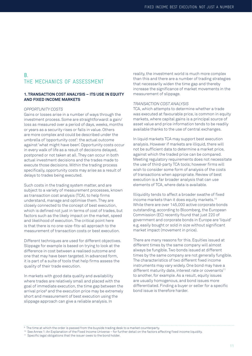### **B.** THE MECHANICS OF ASSESSMENT

#### **1. TRANSACTION COST ANALYSIS – ITS USE IN EQUITY AND FIXED INCOME MARKETS**

#### *OPPORTUNITY COSTS*

Gains or losses arise in a number of ways through the investment process. Some are straightforward: a gain/ loss as measured over a period of days, weeks, months or years as a security rises or falls in value. Others are more complex and could be described under the umbrella of 'opportunity cost': the actual outcome against 'what might have been'. Opportunity costs occur in every walk of life as a result of decisions delayed, postponed or not taken at all. They can occur in both actual investment decisions and the trades made to execute those decisions. Within the trading process specifically, opportunity costs may arise as a result of delays to trades being executed.

Such costs in the trading system matter, and are subject to a variety of measurement processes, known as transaction cost analysis (TCA), to help firms understand, manage and optimise them. They are closely connected to the concept of best execution, which is defined not just in terms of cost of trades, but factors such as the likely impact on the market, speed and likelihood of execution. The critical point here is that there is no one-size-fits-all approach to the measurement of transaction costs or best execution.

Different techniques are used for different objectives. Slippage for example is based on trying to look at the difference in cost between a realised outcome and one that may have been targeted. In advanced form, it is part of a suite of tools that help firms assess the quality of their trade execution.

In markets with good data quality and availability where trades are relatively small and placed with the goal of immediate execution, the time gap between the arrival price<sup>9</sup> and the execution price may be extremely short and measurement of best execution using the slippage approach can give a reliable analysis. In

reality, the investment world is much more complex than this and there are a number of trading strategies that necessarily widen the time gap and thereby increase the significance of market movements in the measurement of slippage.

#### *TRANSACTION COST ANALYSIS*

TCA, which attempts to determine whether a trade was executed at favourable price, is common in equity markets, where capital gains is a principal source of asset value and price information tends to be readily available thanks to the use of central exchanges.

In liquid markets TCA may support best execution analysis. However if markets are illiquid, there will not be sufficient data to determine a market price, against which the traded price can be compared. Meeting regulatory requirements does not necessitate the use of third-party TCA tools; however firms will wish to consider some form of analysis of the costs of transactions when appropriate. Review of best execution is a far broader analysis that can use elements of TCA, where data is available.

Illiquidity tends to affect a broader swathe of fixed income markets than it does equity markets.<sup>10</sup> While there are over 145,000 active corporate bonds outstanding, according to Bloomberg, the European Commission (EC) recently found that just 220 of government and corporate bonds in Europe are 'liquid' e.g. easily bought or sold in size without significant market impact (movement in price).

There are many reasons for this. Equities issued at different times by the same company will almost always be fungible. Two bonds issued at different times by the same company are not generally fungible. The characteristics of two different fixed income instruments may vary widely. One bond may have a different maturity date, interest rate or covenants<sup>11</sup> to another, for example. As a result, equity issues are usually homogenous, and bond issues more differentiated. Finding a buyer or seller for a specific bond issue is therefore harder.

 $^{\rm 9}$  The time at which the order is passed from the buyside trading desk to a market counterparty.

<sup>&</sup>lt;sup>10</sup> See Annex 1: An Explanation of the Fixed Income Universe – for further detail on the factors affecting fixed income liquidity.<br><sup>11</sup> Specific legal obligations that the issuer owes to the bond holder.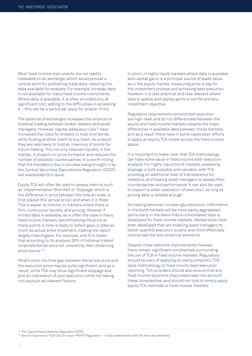Most fixed income instruments are not readily tradeable on an exchange, which would provide a central point for publishing trade data, reducing the data available for analysis. For example, intraday data is not available for many fixed income instruments. Where data is available, it is often provided only at significant cost, adding to the difficulties in accessing it – this can be a particular issue for smaller firms.

The absence of exchanges increases the reliance on bilateral trading between broker-dealers and asset managers. However, capital adequacy rules<sup>12</sup> have increased the costs for brokers to hold onto bonds while finding another client to buy them. As a result, they are less likely to hold an inventory of bonds for future trading. This not only reduces liquidity in the market, it impacts on price formation and reduces the number of possible counterparties. It is worth noting that the mandatory buy in process being brought in by the Central Securities Depositories Regulation (CSDR) will exacerbate this issue.

Equity TCA will often be used to assess metrics such as 'Implementation Shortfall' or 'Slippage', which is the difference in price between the time an order is first placed (the 'arrival price') and when it is filled. This is easier to monitor in markets where there is firm, continuous liquidity and pricing. However if limited data is available, as is often the case in many fixed income markets, benchmarking the price at these points in time is likely to reflect gaps in data as much as actual price movement, making the report largely meaningless. For example, one firm noted that according to its analysis 28% of notional traded corporate bonds were not covered by their streaming price source.13

What's more the time gap between the arrival price and the execution price may be quite significant, and as a result, while TCA may show significant slippage and give an impression of poor execution while not taking into account all relevant factors.

In short, in highly liquid markets where data is available and capital gains is a principal source of asset value, as in the equity market, measuring price is key for the investment process and achieving best execution. However, it is less practical and less relevant where data is sparse and capital gains is not the primary investment objective.

Regulatory requirements around best execution are high-level and do not differentiate between the equity and fixed income markets despite the major differences in available data between those markets, and as a result there have in some cases been efforts to apply an equity TCA model across the fixed income space.

It is important to make clear that TCA methodology can have some value in fixed income best execution analysis. For highly-liquid bond markets, assessing slippage is both possible and valuable, with TCA providing an additional level of transparency for investors, and helping asset managers to assess their counterparties and performance. It can also be used to support a wider evaluation of execution, as long as pricing data is reliable enough.

As trading becomes increasingly electronic, information in the bond markets will be more easily aggregated, particularly in the event that a consolidated tape is developed for fixed income markets. Market tools have been developed that are enabling asset managers to better quantify execution quality and more effectively incorporate the less empirical elements.

Despite these welcome improvements however, there remain significant complexities surrounding the use of TCA in fixed income markets. Regulators should be wary of applying an overly simplistic TCAstyle methodology to fixed income best execution reporting. TCA providers should also ensure that any fixed income solutions they create take into account these complexities, and should not look to simply apply equity TCA methods to fixed income markets.

<sup>&</sup>lt;sup>12</sup> The Capital Requirements Regulation (CRR)

<sup>&</sup>lt;sup>13</sup> See IA response to 'FCA Call for Input: PRIIPS Regulation – initial experiences with the new requirements'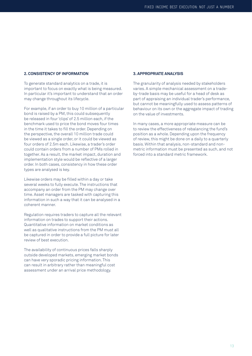#### **2. CONSISTENCY OF INFORMATION**

To generate standard analytics on a trade, it is important to focus on exactly what is being measured. In particular it's important to understand that an order may change throughout its lifecycle.

For example, if an order to buy 10 million of a particular bond is raised by a PM, this could subsequently be released in four 'clips' of 2.5 million each, if the benchmark used to price the bond moves four times in the time it takes to fill the order. Depending on the perspective, the overall 10 million trade could be viewed as a single order, or it could be viewed as four orders of 2.5m each. Likewise, a trader's order could contain orders from a number of PMs rolled in together. As a result, the market impact, duration and implementation style would be reflective of a larger order. In both cases, consistency in how these order types are analysed is key.

Likewise orders may be filled within a day or take several weeks to fully execute. The instructions that accompany an order from the PM may change over time. Asset managers are tasked with capturing this information in such a way that it can be analysed in a coherent manner.

Regulation requires traders to capture all the relevant information on trades to support their actions. Quantitative information on market conditions as well as qualitative instructions from the PM must all be captured in order to provide a full picture for later review of best execution.

The availability of continuous prices falls sharply outside developed markets, emerging market bonds can have very sporadic pricing information. This can result in arbitrary rather than meaningful cost assessment under an arrival price methodology.

#### **3. APPROPRIATE ANALYSIS**

The granularity of analysis needed by stakeholders varies. A simple mechanical assessment on a tradeby-trade basis may be useful for a head of desk as part of appraising an individual trader's performance, but cannot be meaningfully used to assess patterns of behaviour on its own or the aggregate impact of trading on the value of investments.

In many cases, a more appropriate measure can be to review the effectiveness of rebalancing the fund's position as a whole. Depending upon the frequency of review, this might be done on a daily to a quarterly basis. Within that analysis, non-standard and nonmetric information must be presented as such, and not forced into a standard metric framework.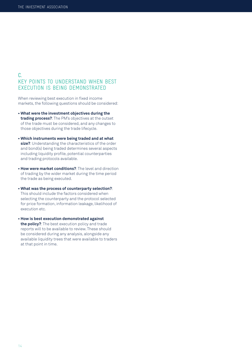## **C.** KEY POINTS TO UNDERSTAND WHEN BEST EXECUTION IS BEING DEMONSTRATED

When reviewing best execution in fixed income markets, the following questions should be considered:

- **What were the investment objectives during the trading process?**: The PM's objectives at the outset of the trade must be considered, and any changes to those objectives during the trade lifecycle.
- **Which instruments were being traded and at what size?**: Understanding the characteristics of the order and bond(s) being traded determines several aspects including liquidity profile, potential counterparties and trading protocols available.
- **How were market conditions?**: The level and direction of trading by the wider market during the time period the trade as being executed.
- **What was the process of counterparty selection?**: This should include the factors considered when selecting the counterparty and the protocol selected for price formation, information leakage, likelihood of execution etc.
- **How is best execution demonstrated against the policy?**: The best execution policy and trade reports will to be available to review. These should be considered during any analysis, alongside any available liquidity trees that were available to traders at that point in time.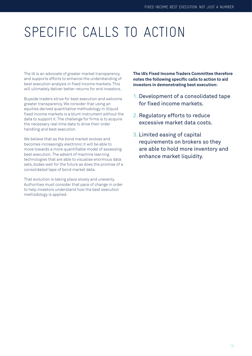# SPECIFIC CALLS TO ACTION

The IA is an advocate of greater market transparency, and supports efforts to enhance the understanding of best execution analysis in fixed income markets. This will ultimately deliver better returns for end investors.

Buyside traders strive for best execution and welcome greater transparency. We consider that using an equities derived quantitative methodology in illiquid fixed income markets is a blunt instrument without the data to support it. The challenge for firms is to acquire the necessary real time data to drive their order handling and best execution.

We believe that as the bond market evolves and becomes increasingly electronic it will be able to move towards a more quantifiable model of assessing best execution. The advent of machine learning technologies that are able to visualise enormous data sets, bodes well for the future as does the promise of a consolidated tape of bond market data.

That evolution is taking place slowly and unevenly. Authorities must consider that pace of change in order to help investors understand how the best execution methodology is applied.

**The IA's Fixed Income Traders Committee therefore notes the following specific calls to action to aid investors in demonstrating best execution:** 

- 1. Development of a consolidated tape for fixed income markets.
- 2. Regulatory efforts to reduce excessive market data costs.
- 3. Limited easing of capital requirements on brokers so they are able to hold more inventory and enhance market liquidity.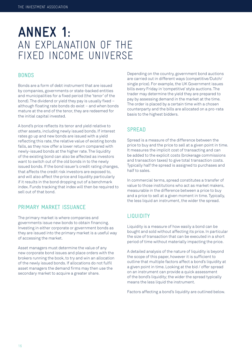## **ANNEX 1:** AN EXPLANATION OF THE FIXED INCOME UNIVERSE

## BONDS

Bonds are a form of debt instrument that are issued by companies, governments or state-backed entities and municipalities for a fixed period (the 'tenor' of the bond). The dividend or yield they pay is usually fixed – although floating rate bonds do exist – and when bonds mature at the end of the tenor, they are redeemed for the initial capital invested.

A bond's price reflects its tenor and yield relative to other assets, including newly issued bonds. If interest rates go up and new bonds are issued with a yield reflecting this rate, the relative value of existing bonds falls, as they now offer a lower return compared with newly-issued bonds at the higher rate. The liquidity of the existing bond can also be affected as investors want to switch out of the old bonds in to the newly issued bonds. If the bond issuer's credit rating changes, that affects the credit risk investors are exposed to, and will also affect the price and liquidity particularly if it results in the bond dropping out of a benchmark index. Funds tracking that index will then be required to sell out of that bond.

## PRIMARY MARKET ISSUANCE

The primary market is where companies and governments issue new bonds to obtain financing. Investing in either corporate or government bonds as they are issued into the primary market is a useful way of accessing the market.

Asset managers must determine the value of any new corporate bond issues and place orders with the brokers running the book, to try and win an allocation of the newly issued bonds. If allocations do not fulfil asset managers the demand firms may then use the secondary market to acquire a greater share.

Depending on the country, government bond auctions are carried out in different ways (competitive/Dutch/ single price). For example, the UK Government issues bills every Friday in 'competitive' style auctions. The trader may determine the yield they are prepared to pay by assessing demand in the market at the time. The order is placed by a certain time with a chosen counterparty and the bills are allocated on a pro-rata basis to the highest bidders.

## SPREAD

Spread is a measure of the difference between the price to buy and the price to sell at a given point in time. It measures the implicit cost of transacting and can be added to the explicit costs (brokerage commissions and transaction taxes) to give total transaction costs. Typically half the spread is assigned to purchases and half to sales.

In commercial terms, spread constitutes a transfer of value to those institutions who act as market makers, measurable in the difference between a price to buy and a price to sell at a given moment in time. Typically, the less liquid an instrument, the wider the spread.

## LIQUIDITY

Liquidity is a measure of how easily a bond can be bought and sold without affecting its price. In particular the size of transaction that can be executed in a short period of time without materially impacting the price.

A detailed analysis of the nature of liquidity is beyond the scope of this paper, however it is sufficient to outline that multiple factors affect a bond's liquidity at a given point in time. Looking at the bid / offer spread on an instrument can provide a quick assessment of the bond's liquidity; the wider the spread typically means the less liquid the instrument.

Factors affecting a bond's liquidity are outlined below.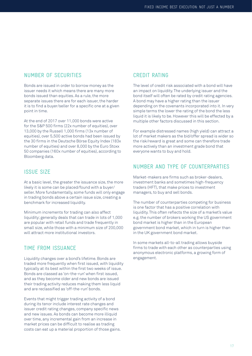### NUMBER OF SECURITIES

Bonds are issued in order to borrow money as the issuer needs it which means there are many more bonds issued than equities. As a rule, the more separate issues there are for each issuer, the harder it is to find a buyer/seller for a specific one at a given point in time.

At the end of 2017 over 11,000 bonds were active for the S&P 500 firms (22x number of equities), over 13,000 by the Russell 1,000 firms (13x number of equities), over 5,500 active bonds had been issued by the 30 firms in the Deutsche Börse Equity Index (183x number of equities) and over 8,000 by the Euro Stoxx 50 companies (160x number of equities), according to Bloomberg data.

### ISSUE SIZE

At a basic level, the greater the issuance size, the more likely it is some can be placed/found with a buyer/ seller. More fundamentally, some funds will only engage in trading bonds above a certain issue size, creating a benchmark for increased liquidity.

Minimum increments for trading can also affect liquidity; generally deals that can trade in lots of 1,000 are popular with retail funds and trade frequently in small size, while those with a minimum size of 200,000 will attract more institutional investors.

## TIME FROM ISSUANCE

Liquidity changes over a bond's lifetime. Bonds are traded more frequently when first issued, with liquidity typically at its best within the first two weeks of issue. Bonds are classed as 'on-the-run' when first issued, and as they become older and new bonds are issued their trading activity reduces making them less liquid and are reclassified as 'off-the-run' bonds.

Events that might trigger trading activity of a bond during its tenor include interest rate changes and issuer credit rating changes, company specific news and new issues. As bonds can become more illiquid over time, any incremental gain from an increase in market prices can be difficult to realise as trading costs can eat up a material proportion of those gains.

## CREDIT RATING

The level of credit risk associated with a bond will have an impact on liquidity. The underlying issuer and the bond itself will often be rated by credit rating agencies. A bond may have a higher rating than the issuer depending on the covenants incorporated into it. In very simple terms the lower the rating of the bond the less liquid it is likely to be. However this will be effected by a multiple other factors discussed in this section.

For example distressed names (high yield) can attract a lot of market makers as the bid/offer spread is wider so the risk/reward is great and some can therefore trade more actively than an investment grade bond that everyone wants to buy and hold.

## NUMBER AND TYPE OF COUNTERPARTIES

Market-makers are firms such as broker-dealers, investment banks and sometimes high-frequency traders (HFT), that make prices to investment managers, to buy and sell bonds.

The number of counterparties competing for business is one factor that has a positive correlation with liquidity. This often reflects the size of a market's value e.g. the number of brokers working the US government bond market is higher than in the European government bond market, which in turn is higher than in the UK government bond market.

In some markets all-to-all trading allows buyside firms to trade with each other as counterparties using anonymous electronic platforms, a growing form of engagement.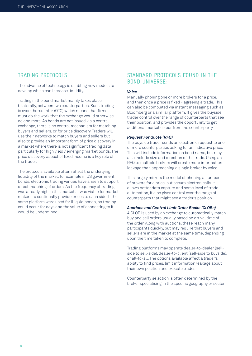### TRADING PROTOCOLS

The advance of technology is enabling new models to develop which can increase liquidity.

Trading in the bond market mainly takes place bilaterally, between two counterparties. Such trading is over-the-counter (OTC) which means that firms must do the work that the exchange would otherwise do and more. As bonds are not issued via a central exchange, there is no central mechanism for matching buyers and sellers, or for price discovery. Traders will use their networks to match buyers and sellers but also to provide an important form of price discovery in a market where there is not significant trading data, particularly for high yield / emerging market bonds. The price discovery aspect of fixed income is a key role of the trader.

The protocols available often reflect the underlying liquidity of the market, for example in US government bonds, electronic trading venues have arisen to support direct matching of orders. As the frequency of trading was already high in this market, it was viable for market makers to continually provide prices to each side. If the same platform were used for illiquid bonds, no trading could occur for days and the value of connecting to it would be undermined.

## STANDARD PROTOCOLS FOUND IN THE BOND UNIVERSE:

#### *Voice*

Manually phoning one or more brokers for a price, and then once a price is fixed - agreeing a trade. This can also be completed via instant messaging such as Bloomberg or a similar platform. It gives the buyside trader control over the range of counterparts that see their position, and provides the opportunity to get additional market colour from the counterparty.

#### *Request For Quote (RFQ)*

The buyside trader sends an electronic request to one or more counterparties asking for an indicative price. This will include information on bond name, but may also include size and direction of the trade. Using an RFQ to multiple brokers will create more information leakage than approaching a single broker by voice.

This largely mirrors the model of phoning a number of brokers for a price, but occurs electronically. It allows better data capture and some level of trade automation, it also gives control over the range of counterparts that might see a trader's position.

#### *Auctions and Central Limit Order Books (CLOBs)*

A CLOB is used by an exchange to automatically match buy and sell orders usually based on arrival time of the order. Along with auctions, these reach many participants quickly, but may require that buyers and sellers are in the market at the same time, depending upon the time taken to complete.

Trading platforms may operate dealer-to-dealer (sellside to sell-side), dealer-to-client (sell-side to buyside), or all-to-all. The options available affect a trader's ability to find prices, limit information leakage about their own position and execute trades.

Counterparty selection is often determined by the broker specialising in the specific geography or sector.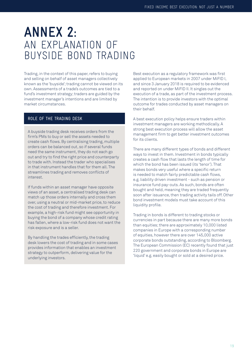## **ANNEX 2:** AN EXPLANATION OF BUYSIDE BOND TRADING

Trading, in the context of this paper, refers to buying and selling on behalf of asset managers collectively known as the 'buyside'; trading cannot be viewed on its own. Assessments of a trade's outcomes are tied to a fund's investment strategy; traders are guided by the investment manager's intentions and are limited by market circumstances.

### ROLE OF THE TRADING DESK

A buyside trading desk receives orders from the firm's PMs to buy or sell the assets needed to create cash flows. By centralising trading, multiple orders can be balanced out, so if several funds need the same instrument, they do not each go out and try to find the right price and counterparty to trade with. Instead the trader who specialises in that instrument handles that for them all. The streamlines trading and removes conflicts of interest.

If funds within an asset manager have opposite views of an asset, a centralised trading desk can match up those orders internally and cross them over, using a neutral or mid-market price, to reduce the cost of trading and therefore investment. For example, a high-risk fund might see opportunity in buying the bond of a company whose credit rating has fallen, where a low-risk fund does not want the risk exposure and is a seller.

By handling the trades efficiently, the trading desk lowers the cost of trading and in some cases provides information that enables an investment strategy to outperform, delivering value for the underlying investors.

Best execution as a regulatory framework was first applied to European markets in 2007 under MiFID I, and since 3 January 2018 is required to be evidenced and reported on under MiFID II. It singles out the execution of a trade, as part of the investment process. The intention is to provide investors with the optimal outcome for trades conducted by asset managers on their behalf.

A best execution policy helps ensure traders within investment managers are working methodically. A strong best execution process will allow the asset management firm to get better investment outcomes for its clients.

There are many different types of bonds and different ways to invest in them. Investment in bonds typically creates a cash flow that lasts the length of time for which the bond has been issued (its 'tenor'). That makes bonds very useful where a specific return is needed to match fairly predictable cash flows, e.g. liability driven investment - such as pension or insurance fund pay-outs. As such, bonds are often bought and held, meaning they are traded frequently soon after issuance, then trading activity tails off. Other bond investment models must take account of this liquidity profile.

Trading in bonds is different to trading stocks or currencies in part because there are many more bonds than equities; there are approximately 10,000 listed companies in Europe with a corresponding number of equities, however there are over 145,000 active corporate bonds outstanding, according to Bloomberg. The European Commission (EC) recently found that just 220 government and corporate bonds in Europe are 'liquid' e.g. easily bought or sold at a desired price.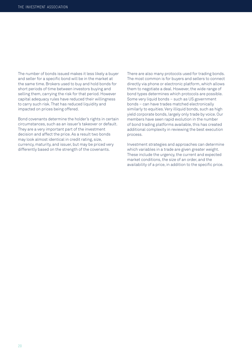The number of bonds issued makes it less likely a buyer and seller for a specific bond will be in the market at the same time. Brokers used to buy and hold bonds for short periods of time between investors buying and selling them, carrying the risk for that period. However capital adequacy rules have reduced their willingness to carry such risk. That has reduced liquidity and impacted on prices being offered.

Bond covenants determine the holder's rights in certain circumstances, such as an issuer's takeover or default. They are a very important part of the investment decision and affect the price. As a result two bonds may look almost identical in credit rating, size, currency, maturity, and issuer, but may be priced very differently based on the strength of the covenants.

There are also many protocols used for trading bonds. The most common is for buyers and sellers to connect directly via phone or electronic platform, which allows them to negotiate a deal. However, the wide range of bond types determines which protocols are possible. Some very liquid bonds – such as US government bonds – can have trades matched electronically similarly to equities. Very illiquid bonds, such as high yield corporate bonds, largely only trade by voice. Our members have seen rapid evolution in the number of bond trading platforms available, this has created additional complexity in reviewing the best execution process.

Investment strategies and approaches can determine which variables in a trade are given greater weight. These include the urgency, the current and expected market conditions, the size of an order, and the availability of a price, in addition to the specific price.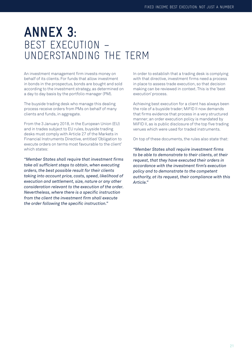## **ANNEX 3:** BEST EXECUTION – UNDERSTANDING THE TERM

An investment management firm invests money on behalf of its clients. For funds that allow investment in bonds in the prospectus, bonds are bought and sold according to the investment strategy, as determined on a day to day basis by the portfolio manager (PM).

The buyside trading desk who manage this dealing process receive orders from PMs on behalf of many clients and funds, in aggregate.

From the 3 January 2018, in the European Union (EU) and in trades subject to EU rules, buyside trading desks must comply with Article 27 of the Markets in Financial Instruments Directive, entitled 'Obligation to execute orders on terms most favourable to the client' which states:

*"Member States shall require that investment firms take all sufficient steps to obtain, when executing orders, the best possible result for their clients taking into account price, costs, speed, likelihood of execution and settlement, size, nature or any other consideration relevant to the execution of the order. Nevertheless, where there is a specific instruction from the client the investment firm shall execute the order following the specific instruction."*

In order to establish that a trading desk is complying with that directive, investment firms need a process in place to assess trade execution, so that decision making can be reviewed in context. This is the 'best execution' process.

Achieving best execution for a client has always been the role of a buyside trader; MiFID II now demands that firms evidence that process in a very structured manner; an order execution policy is mandated by MiFID II, as is public disclosure of the top five trading venues which were used for traded instruments.

On top of these documents, the rules also state that:

*"Member States shall require investment firms to be able to demonstrate to their clients, at their request, that they have executed their orders in accordance with the investment firm's execution policy and to demonstrate to the competent authority, at its request, their compliance with this Article."*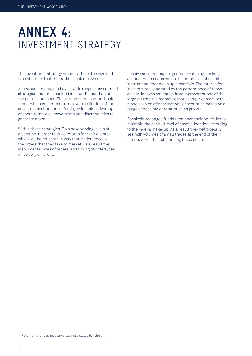## **ANNEX 4:** INVESTMENT STRATEGY

The investment strategy broadly affects the size and type of orders that the trading desk receives:

Active asset managers have a wide range of investment strategies that are specified in a fund's mandate at the point it launches. These range from buy-and-hold funds, which generate returns over the lifetime of the asset, to absolute return funds, which take advantage of short-term price movements and discrepancies to generate alpha .

Within these strategies, PMs have varying levels of discretion in order to drive returns for their clients, which will be reflected in way that traders receive the orders that they take to market. As a result the instruments, sizes of orders, and timing of orders, can all be very different.

Passive asset managers generate value by tracking an index which determines the proportion of specific instruments that make up a portfolio. The returns for investors are generated by the performance of those assets. Indexes can range from representations of the largest firms in a market to more complex smart beta models which offer selections of securities based on a range of possible criteria, such as growth.

Passively-managed funds rebalance their portfolios to maintain the desired level of asset allocation according to the index's make-up. As a result they will typically see high volumes of small trades at the end of the month, when this rebalancing takes place.

14 Return on a fund as measured against a stated benchmark.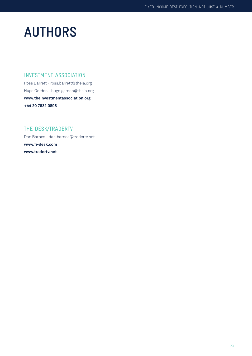## **AUTHORS**

## INVESTMENT ASSOCIATION

Ross Barrett - ross.barrett@theia.org Hugo Gordon - hugo.gordon@theia.org **www.theinvestmentassociation.org +44 20 7831 0898**

## THE DESK/TRADERTV

Dan Barnes - dan.barnes@tradertv.net **www.fi-desk.com www.tradertv.net**